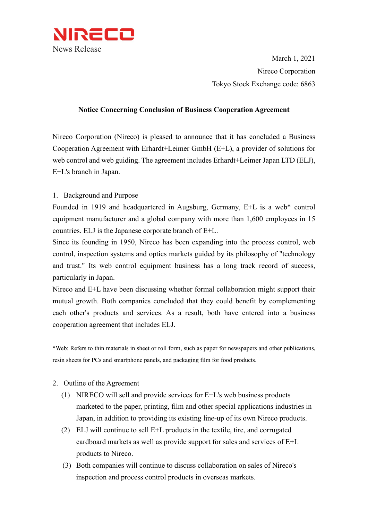

March 1, 2021 Nireco Corporation Tokyo Stock Exchange code: 6863

#### **Notice Concerning Conclusion of Business Cooperation Agreement**

Nireco Corporation (Nireco) is pleased to announce that it has concluded a Business Cooperation Agreement with Erhardt+Leimer GmbH (E+L), a provider of solutions for web control and web guiding. The agreement includes Erhardt+Leimer Japan LTD (ELJ), E+L's branch in Japan.

1. Background and Purpose

Founded in 1919 and headquartered in Augsburg, Germany, E+L is a web\* control equipment manufacturer and a global company with more than 1,600 employees in 15 countries. ELJ is the Japanese corporate branch of E+L.

Since its founding in 1950, Nireco has been expanding into the process control, web control, inspection systems and optics markets guided by its philosophy of "technology and trust." Its web control equipment business has a long track record of success, particularly in Japan.

Nireco and E+L have been discussing whether formal collaboration might support their mutual growth. Both companies concluded that they could benefit by complementing each other's products and services. As a result, both have entered into a business cooperation agreement that includes ELJ.

\*Web: Refers to thin materials in sheet or roll form, such as paper for newspapers and other publications, resin sheets for PCs and smartphone panels, and packaging film for food products.

- 2. Outline of the Agreement
	- (1) NIRECO will sell and provide services for E+L's web business products marketed to the paper, printing, film and other special applications industries in Japan, in addition to providing its existing line-up of its own Nireco products.
	- (2) ELJ will continue to sell  $E+L$  products in the textile, tire, and corrugated cardboard markets as well as provide support for sales and services of E+L products to Nireco.
	- (3) Both companies will continue to discuss collaboration on sales of Nireco's inspection and process control products in overseas markets.